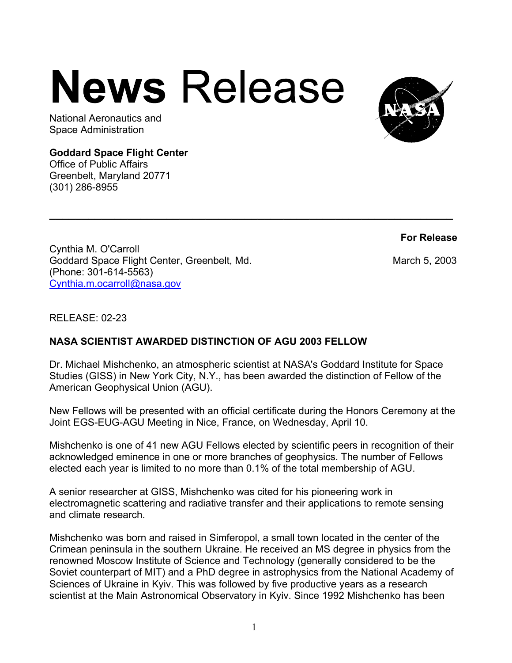## **News Release**



## **Goddard Space Flight Center**

Office of Public Affairs Greenbelt, Maryland 20771 (301) 286-8955



**For Release**

Cynthia M. O'Carroll Goddard Space Flight Center, Greenbelt, Md. March 5, 2003 (Phone: 301-614-5563) Cynthia.m.ocarroll@nasa.gov

RELEASE: 02-23

## **NASA SCIENTIST AWARDED DISTINCTION OF AGU 2003 FELLOW**

Dr. Michael Mishchenko, an atmospheric scientist at NASA's Goddard Institute for Space Studies (GISS) in New York City, N.Y., has been awarded the distinction of Fellow of the American Geophysical Union (AGU).

**\_\_\_\_\_\_\_\_\_\_\_\_\_\_\_\_\_\_\_\_\_\_\_\_\_\_\_\_\_\_\_\_\_\_\_\_\_\_\_\_\_\_\_\_\_\_\_\_\_\_\_\_\_\_\_\_\_\_\_\_\_\_**

New Fellows will be presented with an official certificate during the Honors Ceremony at the Joint EGS-EUG-AGU Meeting in Nice, France, on Wednesday, April 10.

Mishchenko is one of 41 new AGU Fellows elected by scientific peers in recognition of their acknowledged eminence in one or more branches of geophysics. The number of Fellows elected each year is limited to no more than 0.1% of the total membership of AGU.

A senior researcher at GISS, Mishchenko was cited for his pioneering work in electromagnetic scattering and radiative transfer and their applications to remote sensing and climate research.

Mishchenko was born and raised in Simferopol, a small town located in the center of the Crimean peninsula in the southern Ukraine. He received an MS degree in physics from the renowned Moscow Institute of Science and Technology (generally considered to be the Soviet counterpart of MIT) and a PhD degree in astrophysics from the National Academy of Sciences of Ukraine in Kyiv. This was followed by five productive years as a research scientist at the Main Astronomical Observatory in Kyiv. Since 1992 Mishchenko has been